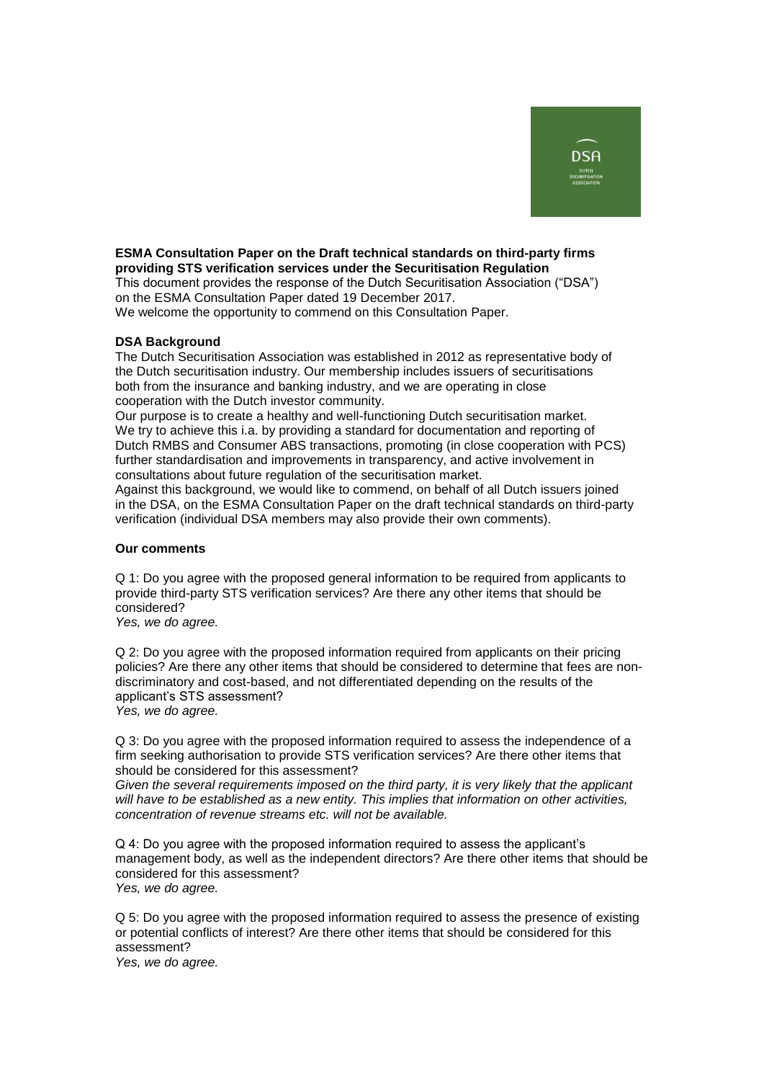

## **ESMA Consultation Paper on the Draft technical standards on third-party firms providing STS verification services under the Securitisation Regulation**

This document provides the response of the Dutch Securitisation Association ("DSA") on the ESMA Consultation Paper dated 19 December 2017.

We welcome the opportunity to commend on this Consultation Paper.

## **DSA Background**

The Dutch Securitisation Association was established in 2012 as representative body of the Dutch securitisation industry. Our membership includes issuers of securitisations both from the insurance and banking industry, and we are operating in close cooperation with the Dutch investor community.

Our purpose is to create a healthy and well-functioning Dutch securitisation market. We try to achieve this i.a. by providing a standard for documentation and reporting of Dutch RMBS and Consumer ABS transactions, promoting (in close cooperation with PCS) further standardisation and improvements in transparency, and active involvement in consultations about future regulation of the securitisation market.

Against this background, we would like to commend, on behalf of all Dutch issuers joined in the DSA, on the ESMA Consultation Paper on the draft technical standards on third-party verification (individual DSA members may also provide their own comments).

## **Our comments**

Q 1: Do you agree with the proposed general information to be required from applicants to provide third-party STS verification services? Are there any other items that should be considered?

*Yes, we do agree.*

Q 2: Do you agree with the proposed information required from applicants on their pricing policies? Are there any other items that should be considered to determine that fees are nondiscriminatory and cost-based, and not differentiated depending on the results of the applicant's STS assessment? *Yes, we do agree.*

Q 3: Do you agree with the proposed information required to assess the independence of a firm seeking authorisation to provide STS verification services? Are there other items that should be considered for this assessment?

*Given the several requirements imposed on the third party, it is very likely that the applicant will have to be established as a new entity. This implies that information on other activities, concentration of revenue streams etc. will not be available.*

Q 4: Do you agree with the proposed information required to assess the applicant's management body, as well as the independent directors? Are there other items that should be considered for this assessment? *Yes, we do agree.*

Q 5: Do you agree with the proposed information required to assess the presence of existing or potential conflicts of interest? Are there other items that should be considered for this assessment?

*Yes, we do agree.*